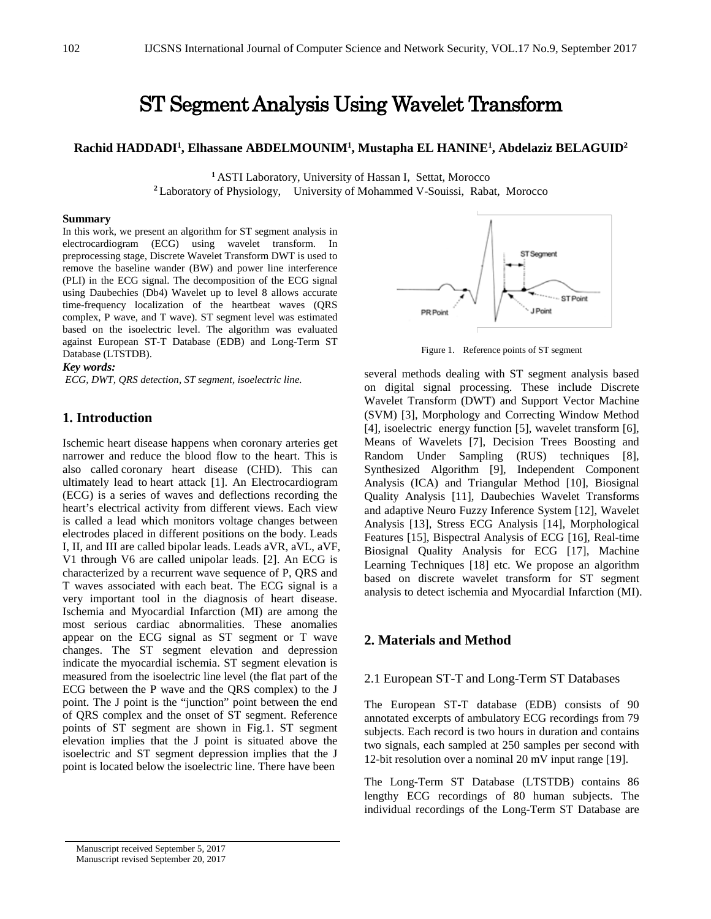# ST Segment Analysis Using Wavelet Transform

# **Rachid HADDADI1 , Elhassane ABDELMOUNIM1 , Mustapha EL HANINE1 , Abdelaziz BELAGUID2**

**<sup>1</sup>**ASTI Laboratory, University of Hassan I, Settat, Morocco **<sup>2</sup>**Laboratory of Physiology, University of Mohammed V-Souissi, Rabat, Morocco

#### **Summary**

In this work, we present an algorithm for ST segment analysis in electrocardiogram (ECG) using wavelet transform. In preprocessing stage, Discrete Wavelet Transform DWT is used to remove the baseline wander (BW) and power line interference (PLI) in the ECG signal. The decomposition of the ECG signal using Daubechies (Db4) Wavelet up to level 8 allows accurate time-frequency localization of the heartbeat waves (QRS complex, P wave, and T wave). ST segment level was estimated based on the isoelectric level. The algorithm was evaluated against European ST-T Database (EDB) and Long-Term ST Database (LTSTDB).

#### *Key words:*

*ECG, DWT, QRS detection, ST segment, isoelectric line.*

# **1. Introduction**

Ischemic heart disease happens when coronary arteries get narrower and reduce the blood flow to the heart. This is also called [coronary heart disease](http://www.heart.org/HEARTORG/Conditions/More/MyHeartandStrokeNews/Coronary-Artery-Disease---Coronary-Heart-Disease_UCM_436416_Article.jsp) (CHD). This can ultimately lead to [heart attack \[](http://www.heart.org/HEARTORG/Conditions/HeartAttack/Heart-Attack_UCM_001092_SubHomePage.jsp)1]. An Electrocardiogram (ECG) is a series of waves and deflections recording the heart's electrical activity from different views. Each view is called a lead which monitors voltage changes between electrodes placed in different positions on the body. Leads I, II, and III are called bipolar leads. Leads aVR, aVL, aVF, V1 through V6 are called unipolar leads. [2]. An ECG is characterized by a recurrent wave sequence of P, QRS and T waves associated with each beat. The ECG signal is a very important tool in the diagnosis of heart disease. Ischemia and Myocardial Infarction (MI) are among the most serious cardiac abnormalities. These anomalies appear on the ECG signal as ST segment or T wave changes. The ST segment elevation and depression indicate the myocardial ischemia. ST segment elevation is measured from the isoelectric line level (the flat part of the ECG between the P wave and the QRS complex) to the J point. The J point is the "junction" point between the end of QRS complex and the onset of ST segment. Reference points of ST segment are shown in Fig.1. ST segment elevation implies that the J point is situated above the isoelectric and ST segment depression implies that the J point is located below the isoelectric line. There have been



Figure 1. Reference points of ST segment

several methods dealing with ST segment analysis based on digital signal processing. These include Discrete Wavelet Transform (DWT) and Support Vector Machine (SVM) [3], Morphology and Correcting Window Method [4], isoelectric energy function [5], wavelet transform [6], Means of Wavelets [7], Decision Trees Boosting and Random Under Sampling (RUS) techniques [8], Synthesized Algorithm [9], Independent Component Analysis (ICA) and Triangular Method [10], Biosignal Quality Analysis [11], Daubechies Wavelet Transforms and adaptive Neuro Fuzzy Inference System [12], Wavelet Analysis [13], Stress ECG Analysis [14], Morphological Features [15], Bispectral Analysis of ECG [16], Real-time Biosignal Quality Analysis for ECG [17], Machine Learning Techniques [18] etc. We propose an algorithm based on discrete wavelet transform for ST segment analysis to detect ischemia and Myocardial Infarction (MI).

## **2. Materials and Method**

#### 2.1 European ST-T and Long-Term ST Databases

The European ST-T database (EDB) consists of 90 annotated excerpts of ambulatory ECG recordings from 79 subjects. Each record is two hours in duration and contains two signals, each sampled at 250 samples per second with 12-bit resolution over a nominal 20 mV input range [19].

The Long-Term ST Database (LTSTDB) contains 86 lengthy ECG recordings of 80 human subjects. The individual recordings of the Long-Term ST Database are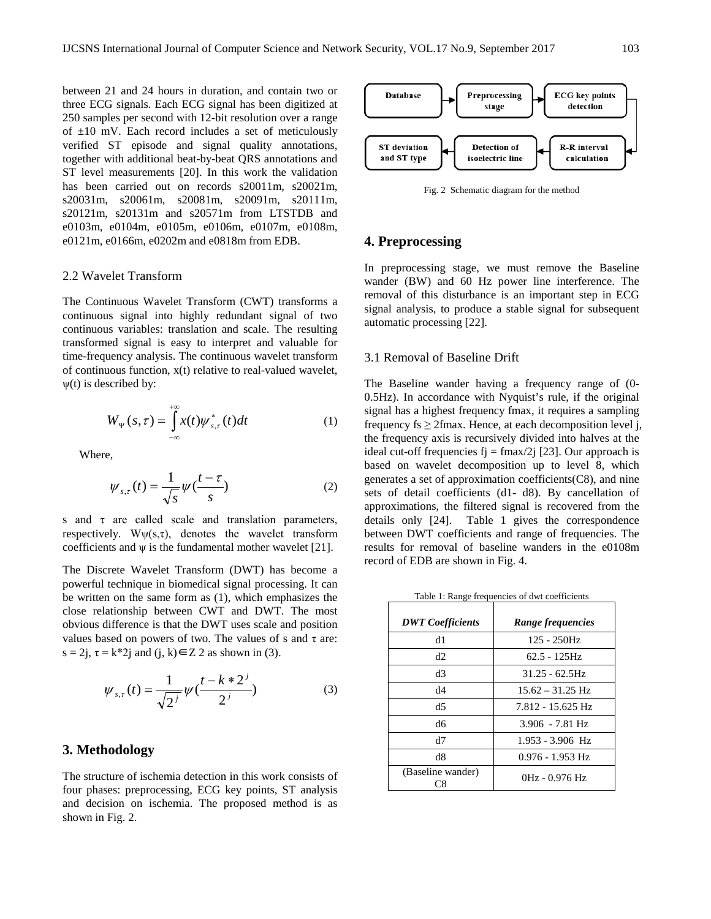between 21 and 24 hours in duration, and contain two or three ECG signals. Each ECG signal has been digitized at 250 samples per second with 12-bit resolution over a range of  $\pm 10$  mV. Each record includes a set of meticulously verified ST episode and signal quality annotations, together with additional beat-by-beat QRS annotations and ST level measurements [20]. In this work the validation has been carried out on records s20011m, s20021m, s20031m, s20061m, s20081m, s20091m, s20111m, s20121m, s20131m and s20571m from LTSTDB and e0103m, e0104m, e0105m, e0106m, e0107m, e0108m, e0121m, e0166m, e0202m and e0818m from EDB.

## 2.2 Wavelet Transform

The Continuous Wavelet Transform (CWT) transforms a continuous signal into highly redundant signal of two continuous variables: translation and scale. The resulting transformed signal is easy to interpret and valuable for time-frequency analysis. The continuous wavelet transform of continuous function, x(t) relative to real-valued wavelet,  $\psi(t)$  is described by:

$$
W_{\Psi}(s,\tau) = \int_{-\infty}^{+\infty} x(t) \psi_{s,\tau}^*(t) dt \qquad (1)
$$

Where,

$$
\psi_{s,\tau}(t) = \frac{1}{\sqrt{s}} \psi(\frac{t-\tau}{s})
$$
\n(2)

s and  $\tau$  are called scale and translation parameters, respectively.  $W\psi(s,\tau)$ , denotes the wavelet transform coefficients and  $\psi$  is the fundamental mother wavelet [21].

The Discrete Wavelet Transform (DWT) has become a powerful technique in biomedical signal processing. It can be written on the same form as (1), which emphasizes the close relationship between CWT and DWT. The most obvious difference is that the DWT uses scale and position values based on powers of two. The values of s and  $\tau$  are:  $s = 2i$ ,  $\tau = k^*2i$  and  $(i, k) \in \mathbb{Z}$  2 as shown in (3).

$$
\psi_{s,\tau}(t) = \frac{1}{\sqrt{2^j}} \psi(\frac{t - k \cdot 2^j}{2^j})
$$
 (3)

## **3. Methodology**

The structure of ischemia detection in this work consists of four phases: preprocessing, ECG key points, ST analysis and decision on ischemia. The proposed method is as shown in Fig. 2.



Fig. 2 Schematic diagram for the method

## **4. Preprocessing**

In preprocessing stage, we must remove the Baseline wander (BW) and 60 Hz power line interference. The removal of this disturbance is an important step in ECG signal analysis, to produce a stable signal for subsequent automatic processing [22].

## 3.1 Removal of Baseline Drift

The Baseline wander having a frequency range of (0- 0.5Hz). In accordance with Nyquist's rule, if the original signal has a highest frequency fmax, it requires a sampling frequency fs  $\geq$  2fmax. Hence, at each decomposition level j, the frequency axis is recursively divided into halves at the ideal cut-off frequencies  $f_1 = f \frac{max}{2j}$  [23]. Our approach is based on wavelet decomposition up to level 8, which generates a set of approximation coefficients(C8), and nine sets of detail coefficients (d1- d8). By cancellation of approximations, the filtered signal is recovered from the details only [24]. Table 1 gives the correspondence between DWT coefficients and range of frequencies. The results for removal of baseline wanders in the e0108m record of EDB are shown in Fig. 4.

Table 1: Range frequencies of dwt coefficients

| <b>DWT</b> Coefficients | Range frequencies  |
|-------------------------|--------------------|
|                         |                    |
| d1                      | $125 - 250$ Hz     |
| d2                      | $62.5 - 125$ Hz    |
| d3                      | $31.25 - 62.5$ Hz  |
| d4                      | $15.62 - 31.25$ Hz |
| d5                      | 7.812 - 15.625 Hz  |
| dб                      | $3.906 - 7.81$ Hz  |
| d7                      | $1.953 - 3.906$ Hz |
| d8                      | $0.976 - 1.953$ Hz |
| (Baseline wander)       | 0Hz - 0.976 Hz     |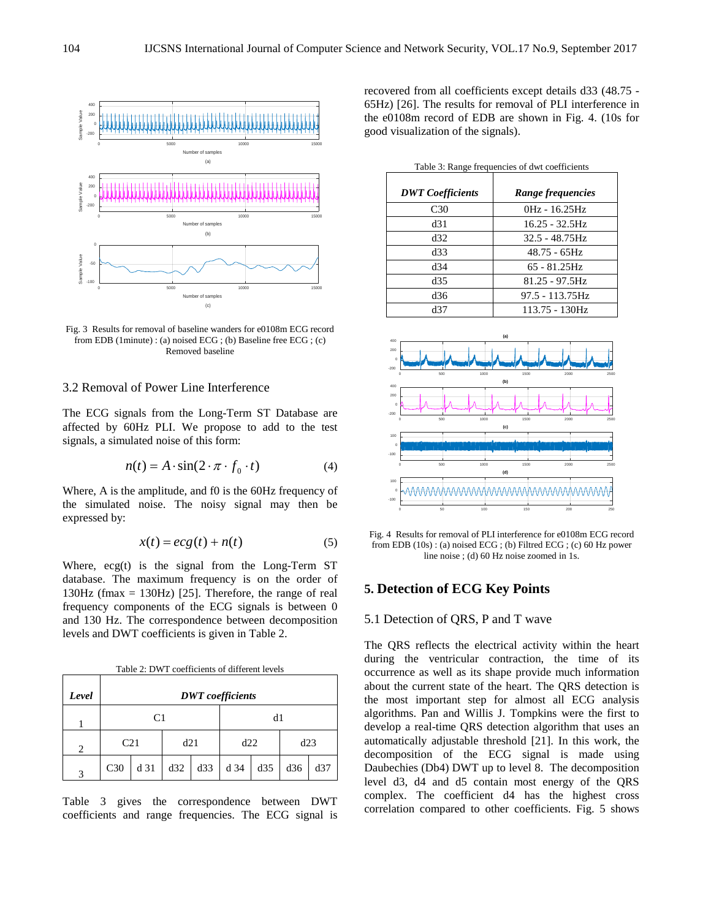

Fig. 3 Results for removal of baseline wanders for e0108m ECG record from EDB (1minute) : (a) noised ECG ; (b) Baseline free ECG ; (c) Removed baseline

## 3.2 Removal of Power Line Interference

The ECG signals from the Long-Term ST Database are affected by 60Hz PLI. We propose to add to the test signals, a simulated noise of this form:

$$
n(t) = A \cdot \sin(2 \cdot \pi \cdot f_0 \cdot t) \tag{4}
$$

Where, A is the amplitude, and f0 is the 60Hz frequency of the simulated noise. The noisy signal may then be expressed by:

$$
x(t) = ecg(t) + n(t)
$$
 (5)

Where, ecg(t) is the signal from the Long-Term ST database. The maximum frequency is on the order of 130Hz (fmax = 130Hz) [25]. Therefore, the range of real frequency components of the ECG signals is between 0 and 130 Hz. The correspondence between decomposition levels and DWT coefficients is given in Table 2.

Table 2: DWT coefficients of different levels

| Level                       | <b>DWT</b> coefficients |                        |     |            |      |     |     |     |
|-----------------------------|-------------------------|------------------------|-----|------------|------|-----|-----|-----|
|                             |                         | C <sub>1</sub>         |     |            | d1   |     |     |     |
| $\mathcal{D}_{\mathcal{L}}$ |                         | C <sub>21</sub><br>d21 |     | d22<br>d23 |      |     |     |     |
| 2                           | C <sub>30</sub>         | d 31                   | d32 | d33        | d 34 | d35 | d36 | d37 |

Table 3 gives the correspondence between DWT coefficients and range frequencies. The ECG signal is recovered from all coefficients except details d33 (48.75 - 65Hz) [26]. The results for removal of PLI interference in the e0108m record of EDB are shown in Fig. 4. (10s for good visualization of the signals).

| Table 3: Range frequencies of dwt coefficients |  |  |  |  |  |  |
|------------------------------------------------|--|--|--|--|--|--|
|                                                |  |  |  |  |  |  |

| <b>DWT</b> Coefficients | Range frequencies |
|-------------------------|-------------------|
| C <sub>30</sub>         | 0Hz - 16.25Hz     |
| d31                     | 16.25 - 32.5Hz    |
| d32                     | $32.5 - 48.75$ Hz |
| d33                     | 48.75 - 65Hz      |
| d34                     | $65 - 81.25$ Hz   |
| d35                     | $81.25 - 97.5$ Hz |
| d36                     | 97.5 - 113.75Hz   |
| d37                     | 113.75 - 130Hz    |



Fig. 4 Results for removal of PLI interference for e0108m ECG record from EDB  $(10s)$ : (a) noised ECG; (b) Filtred ECG; (c) 60 Hz power line noise ; (d) 60 Hz noise zoomed in 1s.

# **5. Detection of ECG Key Points**

## 5.1 Detection of QRS, P and T wave

The QRS reflects the electrical activity within the heart during the ventricular contraction, the time of its occurrence as well as its shape provide much information about the current state of the heart. The QRS detection is the most important step for almost all ECG analysis algorithms. Pan and Willis J. Tompkins were the first to develop a real-time QRS detection algorithm that uses an automatically adjustable threshold [21]. In this work, the decomposition of the ECG signal is made using Daubechies (Db4) DWT up to level 8. The decomposition level d3, d4 and d5 contain most energy of the QRS complex. The coefficient d4 has the highest cross correlation compared to other coefficients. Fig. 5 shows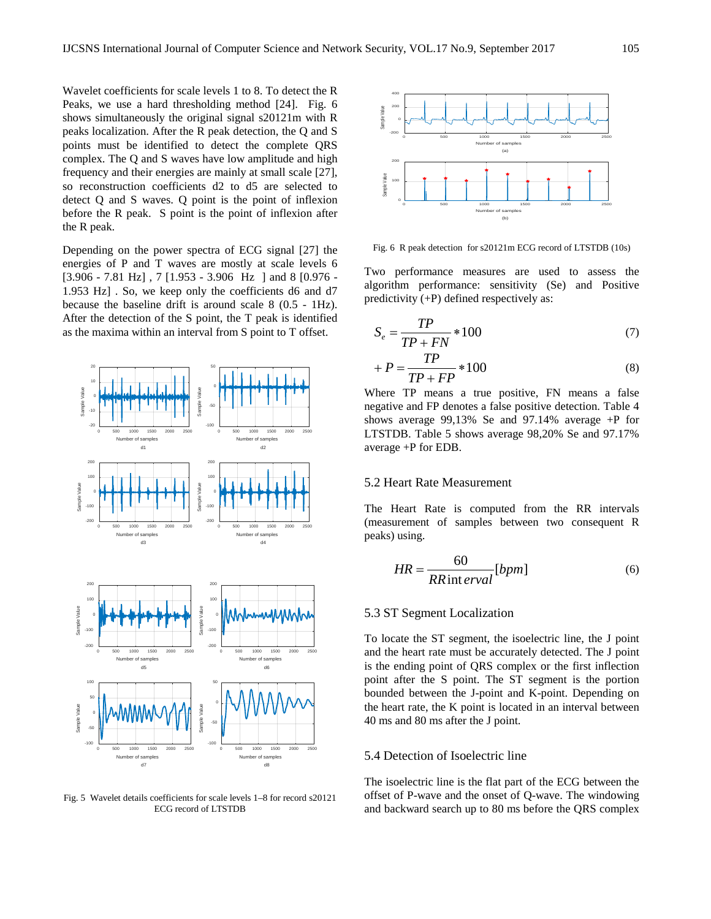Wavelet coefficients for scale levels 1 to 8. To detect the R Peaks, we use a hard thresholding method [24]. Fig. 6 shows simultaneously the original signal s20121m with R peaks localization. After the R peak detection, the Q and S points must be identified to detect the complete QRS complex. The Q and S waves have low amplitude and high frequency and their energies are mainly at small scale [27], so reconstruction coefficients d2 to d5 are selected to detect Q and S waves. Q point is the point of inflexion before the R peak. S point is the point of inflexion after the R peak.

Depending on the power spectra of ECG signal [27] the energies of P and T waves are mostly at scale levels 6 [3.906 - 7.81 Hz] , 7 [1.953 - 3.906 Hz ] and 8 [0.976 - 1.953 Hz] . So, we keep only the coefficients d6 and d7 because the baseline drift is around scale 8 (0.5 - 1Hz). After the detection of the S point, the T peak is identified as the maxima within an interval from S point to T offset.



Fig. 5 Wavelet details coefficients for scale levels 1–8 for record s20121 ECG record of LTSTDB



Fig. 6 R peak detection for s20121m ECG record of LTSTDB (10s)

Two performance measures are used to assess the algorithm performance: sensitivity (Se) and Positive predictivity (+P) defined respectively as:

$$
S_e = \frac{TP}{TP + FN} * 100\tag{7}
$$

$$
+P = \frac{TP}{TP + FP} * 100
$$
\n<sup>(8)</sup>

Where TP means a true positive, FN means a false negative and FP denotes a false positive detection. Table 4 shows average 99,13% Se and 97.14% average +P for LTSTDB. Table 5 shows average 98,20% Se and 97.17% average +P for EDB.

#### 5.2 Heart Rate Measurement

The Heart Rate is computed from the RR intervals (measurement of samples between two consequent R peaks) using.

$$
HR = \frac{60}{RR\,\text{int }erval} [bpm]
$$
 (6)

## 5.3 ST Segment Localization

To locate the ST segment, the isoelectric line, the J point and the heart rate must be accurately detected. The J point is the ending point of QRS complex or the first inflection point after the S point. The ST segment is the portion bounded between the J-point and K-point. Depending on the heart rate, the K point is located in an interval between 40 ms and 80 ms after the J point.

#### 5.4 Detection of Isoelectric line

The isoelectric line is the flat part of the ECG between the offset of P-wave and the onset of Q-wave. The windowing and backward search up to 80 ms before the QRS complex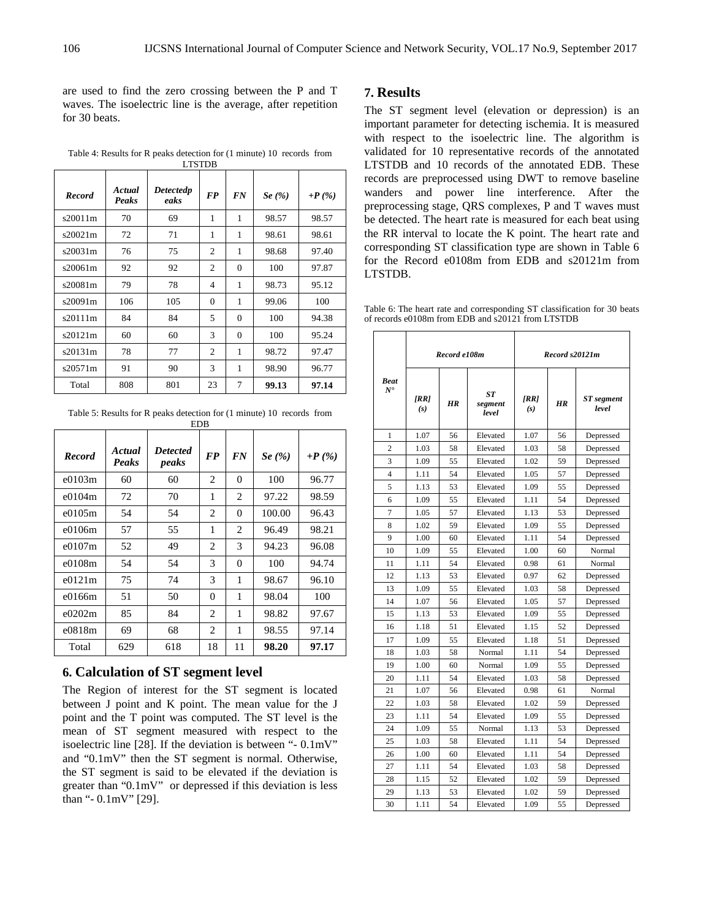are used to find the zero crossing between the P and T waves. The isoelectric line is the average, after repetition for 30 beats.

Table 4: Results for R peaks detection for (1 minute) 10 records from LTSTDB

| <b>Record</b> | Actual<br>Peaks | <b>Detectedp</b><br>eaks | <b>FP</b>                | <b>FN</b> | Se $(\%)$ | $+P(\%)$ |  |  |  |
|---------------|-----------------|--------------------------|--------------------------|-----------|-----------|----------|--|--|--|
| s20011m       | 70              | 69                       | 1                        | 1         | 98.57     | 98.57    |  |  |  |
| s20021m       | 72              | 71                       | 1                        | 1         | 98.61     | 98.61    |  |  |  |
| s20031m       | 76              | 75                       | $\overline{2}$           | 1         | 98.68     | 97.40    |  |  |  |
| s20061m       | 92              | 92                       | $\overline{c}$           | $\Omega$  | 100       | 97.87    |  |  |  |
| s20081m       | 79              | 78                       | $\overline{\mathcal{A}}$ | 1         | 98.73     | 95.12    |  |  |  |
| s20091m       | 106             | 105                      | $\Omega$                 | 1         | 99.06     | 100      |  |  |  |
| s20111m       | 84              | 84                       | 5                        | $\Omega$  | 100       | 94.38    |  |  |  |
| s20121m       | 60              | 60                       | 3                        | $\Omega$  | 100       | 95.24    |  |  |  |
| s20131m       | 78              | 77                       | $\overline{c}$           | 1         | 98.72     | 97.47    |  |  |  |
| s20571m       | 91              | 90                       | 3                        | 1         | 98.90     | 96.77    |  |  |  |
| Total         | 808             | 801                      | 23                       | 7         | 99.13     | 97.14    |  |  |  |

Table 5: Results for R peaks detection for (1 minute) 10 records from EDB

| <b>Record</b> | Actual<br><b>Peaks</b> | <b>Detected</b><br>peaks | <b>FP</b> | <b>FN</b>      | Se $(\% )$ | +P $(\% )$ |
|---------------|------------------------|--------------------------|-----------|----------------|------------|------------|
| $e^{0103m}$   | 60                     | 60                       | 2         | $\overline{0}$ | 100        | 96.77      |
| e0104m        | 72                     | 70                       | 1         | 2              | 97.22      | 98.59      |
| $e^{0105m}$   | 54                     | 54                       | 2         | $\Omega$       | 100.00     | 96.43      |
| e0106m        | 57                     | 55                       | 1         | 2              | 96.49      | 98.21      |
| $e^{0107m}$   | 52                     | 49                       | 2         | 3              | 94.23      | 96.08      |
| e0108m        | 54                     | 54                       | 3         | $\Omega$       | 100        | 94.74      |
| e0121m        | 75                     | 74                       | 3         | 1              | 98.67      | 96.10      |
| e0166m        | 51                     | 50                       | 0         | 1              | 98.04      | 100        |
| e0202m        | 85                     | 84                       | 2         | 1              | 98.82      | 97.67      |
| e0818m        | 69                     | 68                       | 2         | 1              | 98.55      | 97.14      |
| Total         | 629                    | 618                      | 18        | 11             | 98.20      | 97.17      |

# **6. Calculation of ST segment level**

The Region of interest for the ST segment is located between J point and K point. The mean value for the J point and the T point was computed. The ST level is the mean of ST segment measured with respect to the isoelectric line [28]. If the deviation is between "- 0.1mV" and "0.1mV" then the ST segment is normal. Otherwise, the ST segment is said to be elevated if the deviation is greater than "0.1mV" or depressed if this deviation is less than "- 0.1mV" [29].

## **7. Results**

The ST segment level (elevation or depression) is an important parameter for detecting ischemia. It is measured with respect to the isoelectric line. The algorithm is validated for 10 representative records of the annotated LTSTDB and 10 records of the annotated EDB. These records are preprocessed using DWT to remove baseline wanders and power line interference. After the preprocessing stage, QRS complexes, P and T waves must be detected. The heart rate is measured for each beat using the RR interval to locate the K point. The heart rate and corresponding ST classification type are shown in Table 6 for the Record e0108m from EDB and s20121m from LTSTDB.

Table 6: The heart rate and corresponding ST classification for 30 beats of records e0108m from EDB and s20121 from LTSTDB

|                              | Record e108m |    | Record s20121m         |            |    |                            |
|------------------------------|--------------|----|------------------------|------------|----|----------------------------|
| <b>Beat</b><br>$N^{\bullet}$ | [RR]<br>(s)  | HR | ST<br>segment<br>level | IRR<br>(s) | HR | <b>ST</b> segment<br>level |
| 1                            | 1.07         | 56 | Elevated               | 1.07       | 56 | Depressed                  |
| $\overline{2}$               | 1.03         | 58 | Elevated               | 1.03       | 58 | Depressed                  |
| 3                            | 1.09         | 55 | Elevated               | 1.02       | 59 | Depressed                  |
| $\overline{4}$               | 1.11         | 54 | Elevated               | 1.05       | 57 | Depressed                  |
| 5                            | 1.13         | 53 | Elevated               | 1.09       | 55 | Depressed                  |
| 6                            | 1.09         | 55 | Elevated               | 1.11       | 54 | Depressed                  |
| $\overline{7}$               | 1.05         | 57 | Elevated               | 1.13       | 53 | Depressed                  |
| 8                            | 1.02         | 59 | Elevated               | 1.09       | 55 | Depressed                  |
| 9                            | 1.00         | 60 | Elevated               | 1.11       | 54 | Depressed                  |
| 10                           | 1.09         | 55 | Elevated               | 1.00       | 60 | Normal                     |
| 11                           | 1.11         | 54 | Elevated               | 0.98       | 61 | Normal                     |
| 12                           | 1.13         | 53 | Elevated               | 0.97       | 62 | Depressed                  |
| 13                           | 1.09         | 55 | Elevated               | 1.03       | 58 | Depressed                  |
| 14                           | 1.07         | 56 | Elevated               | 1.05       | 57 | Depressed                  |
| 15                           | 1.13         | 53 | Elevated               | 1.09       | 55 | Depressed                  |
| 16                           | 1.18         | 51 | Elevated               | 1.15       | 52 | Depressed                  |
| 17                           | 1.09         | 55 | Elevated               | 1.18       | 51 | Depressed                  |
| 18                           | 1.03         | 58 | Normal                 | 1.11       | 54 | Depressed                  |
| 19                           | 1.00         | 60 | Normal                 | 1.09       | 55 | Depressed                  |
| 20                           | 1.11         | 54 | Elevated               | 1.03       | 58 | Depressed                  |
| 21                           | 1.07         | 56 | Elevated               | 0.98       | 61 | Normal                     |
| 22                           | 1.03         | 58 | Elevated               | 1.02       | 59 | Depressed                  |
| 23                           | 1.11         | 54 | Elevated               | 1.09       | 55 | Depressed                  |
| 24                           | 1.09         | 55 | Normal                 | 1.13       | 53 | Depressed                  |
| 25                           | 1.03         | 58 | Elevated               | 1.11       | 54 | Depressed                  |
| 26                           | 1.00         | 60 | Elevated               | 1.11       | 54 | Depressed                  |
| 27                           | 1.11         | 54 | Elevated               | 1.03       | 58 | Depressed                  |
| 28                           | 1.15         | 52 | Elevated               | 1.02       | 59 | Depressed                  |
| 29                           | 1.13         | 53 | Elevated               | 1.02       | 59 | Depressed                  |
| 30                           | 1.11         | 54 | Elevated               | 1.09       | 55 | Depressed                  |